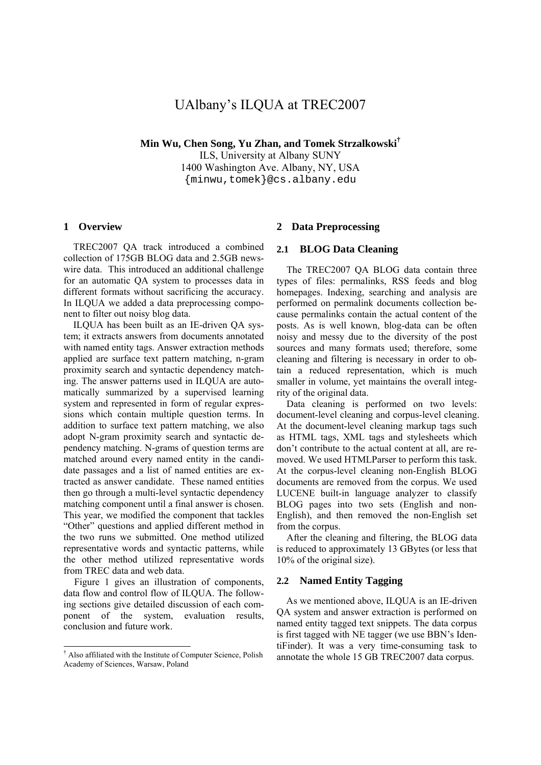# UAlbany's ILQUA at TREC2007

**Min Wu, Chen Song, Yu Zhan, and Tomek Strzalkowski†**

ILS, University at Albany SUNY 1400 Washington Ave. Albany, NY, USA {minwu,tomek}@cs.albany.edu

#### **1 Overview**

 TREC2007 QA track introduced a combined collection of 175GB BLOG data and 2.5GB newswire data. This introduced an additional challenge for an automatic QA system to processes data in different formats without sacrificing the accuracy. In ILQUA we added a data preprocessing component to filter out noisy blog data.

 ILQUA has been built as an IE-driven QA system; it extracts answers from documents annotated with named entity tags. Answer extraction methods applied are surface text pattern matching, n-gram proximity search and syntactic dependency matching. The answer patterns used in ILQUA are automatically summarized by a supervised learning system and represented in form of regular expressions which contain multiple question terms. In addition to surface text pattern matching, we also adopt N-gram proximity search and syntactic dependency matching. N-grams of question terms are matched around every named entity in the candidate passages and a list of named entities are extracted as answer candidate. These named entities then go through a multi-level syntactic dependency matching component until a final answer is chosen. This year, we modified the component that tackles "Other" questions and applied different method in the two runs we submitted. One method utilized representative words and syntactic patterns, while the other method utilized representative words from TREC data and web data.

Figure 1 gives an illustration of components, data flow and control flow of ILQUA. The following sections give detailed discussion of each component of the system, evaluation results, conclusion and future work.

1

# **2 Data Preprocessing**

#### **2.1 BLOG Data Cleaning**

The TREC2007 QA BLOG data contain three types of files: permalinks, RSS feeds and blog homepages. Indexing, searching and analysis are performed on permalink documents collection because permalinks contain the actual content of the posts. As is well known, blog-data can be often noisy and messy due to the diversity of the post sources and many formats used; therefore, some cleaning and filtering is necessary in order to obtain a reduced representation, which is much smaller in volume, yet maintains the overall integrity of the original data.

Data cleaning is performed on two levels: document-level cleaning and corpus-level cleaning. At the document-level cleaning markup tags such as HTML tags, XML tags and stylesheets which don't contribute to the actual content at all, are removed. We used HTMLParser to perform this task. At the corpus-level cleaning non-English BLOG documents are removed from the corpus. We used LUCENE built-in language analyzer to classify BLOG pages into two sets (English and non-English), and then removed the non-English set from the corpus.

After the cleaning and filtering, the BLOG data is reduced to approximately 13 GBytes (or less that 10% of the original size).

# **2.2 Named Entity Tagging**

 As we mentioned above, ILQUA is an IE-driven QA system and answer extraction is performed on named entity tagged text snippets. The data corpus is first tagged with NE tagger (we use BBN's IdentiFinder). It was a very time-consuming task to annotate the whole 15 GB TREC2007 data corpus.

<sup>†</sup> Also affiliated with the Institute of Computer Science, Polish Academy of Sciences, Warsaw, Poland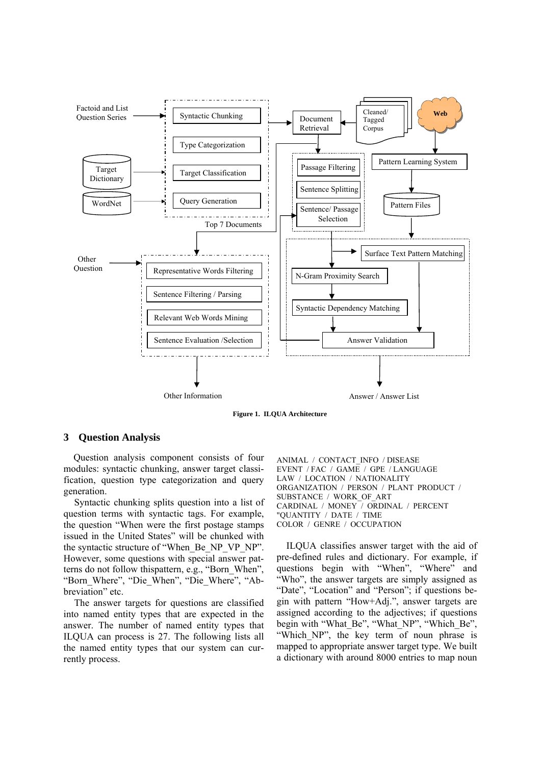

**Figure 1. ILQUA Architecture** 

#### **3 Question Analysis**

Question analysis component consists of four modules: syntactic chunking, answer target classification, question type categorization and query generation.

Syntactic chunking splits question into a list of question terms with syntactic tags. For example, the question "When were the first postage stamps issued in the United States" will be chunked with the syntactic structure of "When\_Be\_NP\_VP\_NP". However, some questions with special answer patterns do not follow thispattern, e.g., "Born\_When", "Born\_Where", "Die\_When", "Die\_Where", "Abbreviation" etc.

The answer targets for questions are classified into named entity types that are expected in the answer. The number of named entity types that ILQUA can process is 27. The following lists all the named entity types that our system can currently process.

ANIMAL / CONTACT\_INFO / DISEASE EVENT / FAC / GAME / GPE / LANGUAGE LAW / LOCATION / NATIONALITY ORGANIZATION / PERSON / PLANT PRODUCT / SUBSTANCE / WORK\_OF\_ART CARDINAL / MONEY / ORDINAL / PERCENT "QUANTITY / DATE / TIME COLOR / GENRE / OCCUPATION

 ILQUA classifies answer target with the aid of pre-defined rules and dictionary. For example, if questions begin with "When", "Where" and "Who", the answer targets are simply assigned as "Date", "Location" and "Person"; if questions begin with pattern "How+Adj.", answer targets are assigned according to the adjectives; if questions begin with "What\_Be", "What\_NP", "Which\_Be", "Which NP", the key term of noun phrase is mapped to appropriate answer target type. We built a dictionary with around 8000 entries to map noun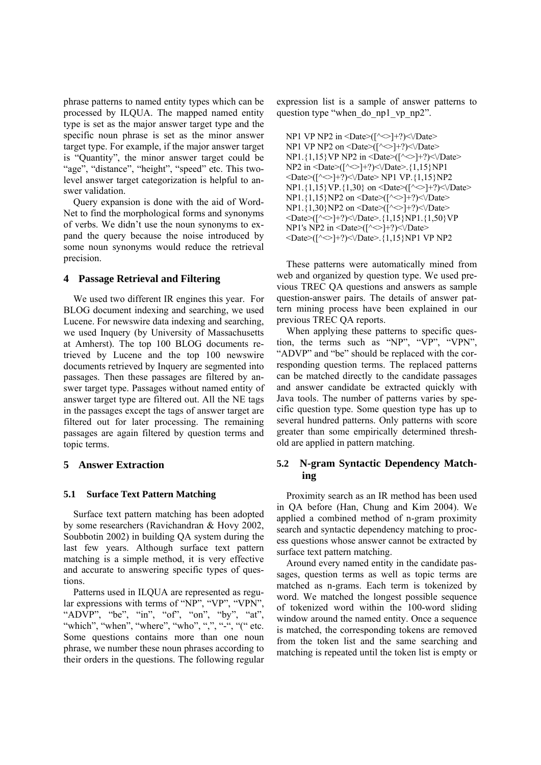phrase patterns to named entity types which can be processed by ILQUA. The mapped named entity type is set as the major answer target type and the specific noun phrase is set as the minor answer target type. For example, if the major answer target is "Quantity", the minor answer target could be "age", "distance", "height", "speed" etc. This twolevel answer target categorization is helpful to answer validation.

 Query expansion is done with the aid of Word-Net to find the morphological forms and synonyms of verbs. We didn't use the noun synonyms to expand the query because the noise introduced by some noun synonyms would reduce the retrieval precision.

# **4 Passage Retrieval and Filtering**

 We used two different IR engines this year. For BLOG document indexing and searching, we used Lucene. For newswire data indexing and searching, we used Inquery (by University of Massachusetts at Amherst). The top 100 BLOG documents retrieved by Lucene and the top 100 newswire documents retrieved by Inquery are segmented into passages. Then these passages are filtered by answer target type. Passages without named entity of answer target type are filtered out. All the NE tags in the passages except the tags of answer target are filtered out for later processing. The remaining passages are again filtered by question terms and topic terms.

# **5 Answer Extraction**

# **5.1 Surface Text Pattern Matching**

 Surface text pattern matching has been adopted by some researchers (Ravichandran & Hovy 2002, Soubbotin 2002) in building QA system during the last few years. Although surface text pattern matching is a simple method, it is very effective and accurate to answering specific types of questions.

 Patterns used in ILQUA are represented as regular expressions with terms of "NP", "VP", "VPN" "ADVP", "be", "in", "of", "on", "by", "at", "which", "when", "where", "who", ",", "", "(" etc. Some questions contains more than one noun phrase, we number these noun phrases according to their orders in the questions. The following regular expression list is a sample of answer patterns to question type "when\_do\_np1\_vp\_np2".

NP1 VP NP2 in  $\Delta$  =Date>([ $\sim$ ]+?) $\Delta$ ) $\Delta$ ate> NP1 VP NP2 on <Date> $\widetilde{([}\sim]$ +?)< $\vee$ Date> NP1.{1,15} VP NP2 in <Date> $(\sim$  +?) < $\vee$ Date>  $NP2$  in  $\leq$ Date $>(\sim$ ]+?) $\leq$  $\vee$ Date $>$ .{1,15}NP1  $\langle$ Date>([ $\langle$  \in -1+?) \square> NP1 VP.{1,15}NP2 NP1.{1,15}VP.{1,30} on <Date>([^<>]+?)<\/Date> NP1.{1,15}NP2 on <Date> $(\sim] + ?$ )< $\sqrt{Date}$ NP1.{1,30}NP2 on <Date> $(\check{l}^{\wedge} \leq \check{l} + ?)$  < $\vee$ Date>  $\langle Date>([\sim]+]$ :\/Date>.{1,15}NP1.{1,50}VP NP1's NP2 in <Date> $([^{\wedge}$   $]$ +?) < $\vee$ Date> <Date>([^<>]+?)<\/Date>.{1,15}NP1 VP NP2

 These patterns were automatically mined from web and organized by question type. We used previous TREC QA questions and answers as sample question-answer pairs. The details of answer pattern mining process have been explained in our previous TREC QA reports.

 When applying these patterns to specific question, the terms such as "NP", "VP", "VPN", "ADVP" and "be" should be replaced with the corresponding question terms. The replaced patterns can be matched directly to the candidate passages and answer candidate be extracted quickly with Java tools. The number of patterns varies by specific question type. Some question type has up to several hundred patterns. Only patterns with score greater than some empirically determined threshold are applied in pattern matching.

# **5.2 N-gram Syntactic Dependency Matching**

 Proximity search as an IR method has been used in QA before (Han, Chung and Kim 2004). We applied a combined method of n-gram proximity search and syntactic dependency matching to process questions whose answer cannot be extracted by surface text pattern matching.

 Around every named entity in the candidate passages, question terms as well as topic terms are matched as n-grams. Each term is tokenized by word. We matched the longest possible sequence of tokenized word within the 100-word sliding window around the named entity. Once a sequence is matched, the corresponding tokens are removed from the token list and the same searching and matching is repeated until the token list is empty or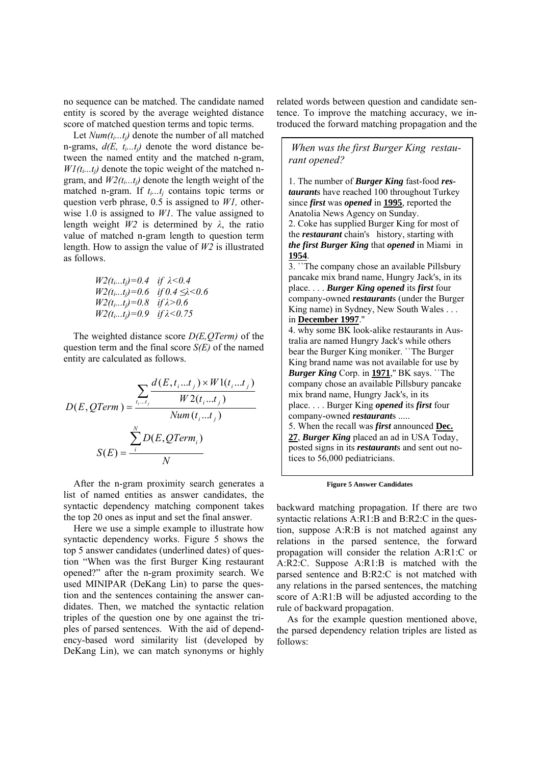no sequence can be matched. The candidate named entity is scored by the average weighted distance score of matched question terms and topic terms.

Let *Num(t<sub>i...ti</sub>)* denote the number of all matched n-grams,  $d(E, t_i...t_j)$  denote the word distance between the named entity and the matched n-gram,  $W1(t_i...t_i)$  denote the topic weight of the matched ngram, and  $W2(t_i...t_i)$  denote the length weight of the matched n-gram. If  $t_i...t_i$  contains topic terms or question verb phrase, 0.5 is assigned to *W1,* otherwise 1.0 is assigned to *W1*. The value assigned to length weight *W2* is determined by *λ*, the ratio value of matched n-gram length to question term length. How to assign the value of *W2* is illustrated as follows.

$$
W2(t_i...t_j) = 0.4 \quad \text{if } \lambda < 0.4
$$
\n
$$
W2(t_i...t_j) = 0.6 \quad \text{if } 0.4 \le \lambda < 0.6
$$
\n
$$
W2(t_i...t_j) = 0.8 \quad \text{if } \lambda > 0.6
$$
\n
$$
W2(t_i...t_j) = 0.9 \quad \text{if } \lambda < 0.75
$$

 The weighted distance score *D(E,QTerm)* of the question term and the final score *S(E)* of the named entity are calculated as follows.

$$
D(E, QTerm) = \frac{\sum_{t_i \dots t_j} d(E, t_i \dots t_j) \times W1(t_i \dots t_j)}{W2(t_i \dots t_j)}
$$

$$
S(E) = \frac{\sum_{i}^{N} D(E, QTerm_i)}{N}
$$

After the n-gram proximity search generates a list of named entities as answer candidates, the syntactic dependency matching component takes the top 20 ones as input and set the final answer.

Here we use a simple example to illustrate how syntactic dependency works. Figure 5 shows the top 5 answer candidates (underlined dates) of question "When was the first Burger King restaurant opened?" after the n-gram proximity search. We used MINIPAR (DeKang Lin) to parse the question and the sentences containing the answer candidates. Then, we matched the syntactic relation triples of the question one by one against the triples of parsed sentences. With the aid of dependency-based word similarity list (developed by DeKang Lin), we can match synonyms or highly

related words between question and candidate sentence. To improve the matching accuracy, we introduced the forward matching propagation and the

 *When was the first Burger King restaurant opened?* 

1. The number of *Burger King* fast-food *restaurant*s have reached 100 throughout Turkey since *first* was *opened* in **1995**, reported the Anatolia News Agency on Sunday. 2. Coke has supplied Burger King for most of the *restaurant* chain's history, starting with *the first Burger King* that *opened* in Miami in **1954**.

3. ``The company chose an available Pillsbury pancake mix brand name, Hungry Jack's, in its place. . . . *Burger King opened* its *first* four company-owned *restaurant*s (under the Burger King name) in Sydney, New South Wales . . . in **December 1997**.''

4. why some BK look-alike restaurants in Australia are named Hungry Jack's while others bear the Burger King moniker. ``The Burger King brand name was not available for use by *Burger King* Corp. in **1971**,'' BK says. ``The company chose an available Pillsbury pancake mix brand name, Hungry Jack's, in its place. . . . Burger King *opened* its *first* four company-owned *restaurant*s ..... 5. When the recall was *first* announced **Dec. 27**, *Burger King* placed an ad in USA Today, posted signs in its *restaurant*s and sent out no-

**Figure 5 Answer Candidates** 

tices to 56,000 pediatricians.

backward matching propagation. If there are two syntactic relations A:R1:B and B:R2:C in the question, suppose A:R:B is not matched against any relations in the parsed sentence, the forward propagation will consider the relation A:R1:C or A:R2:C. Suppose A:R1:B is matched with the parsed sentence and B:R2:C is not matched with any relations in the parsed sentences, the matching score of A:R1:B will be adjusted according to the rule of backward propagation.

As for the example question mentioned above, the parsed dependency relation triples are listed as follows: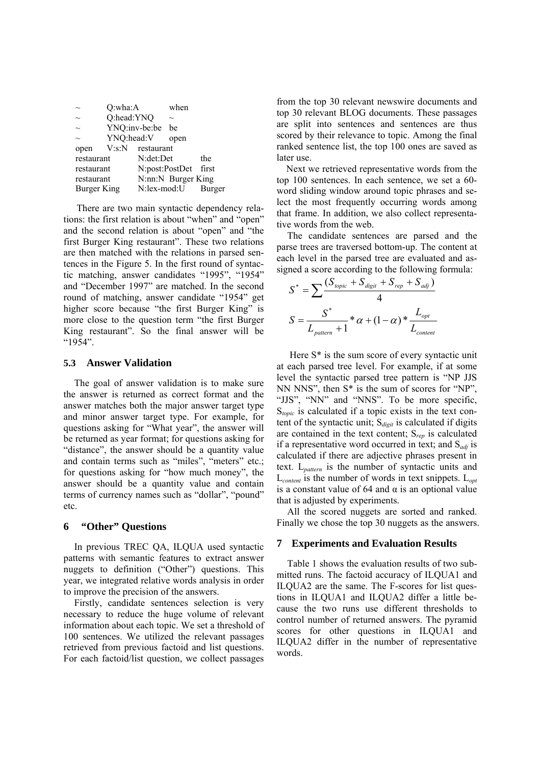| $\sim$      | Q:wha:A       |                        | when |        |  |
|-------------|---------------|------------------------|------|--------|--|
| $\sim$      | Q:head:YNQ    |                        |      |        |  |
| $\sim$      | YNQ:inv-be:be |                        | be   |        |  |
| $\sim$      | YNQ:head:V    |                        | open |        |  |
| open        |               | $V$ :s: $N$ restaurant |      |        |  |
| restaurant  |               | N:det:Det              |      | the    |  |
| restaurant  |               | N:post:PostDet         |      | first  |  |
| restaurant  |               | N:nn:N Burger King     |      |        |  |
| Burger King |               | N:lex-mod:U            |      | Burger |  |

 There are two main syntactic dependency relations: the first relation is about "when" and "open" and the second relation is about "open" and "the first Burger King restaurant". These two relations are then matched with the relations in parsed sentences in the Figure 5. In the first round of syntactic matching, answer candidates "1995", "1954" and "December 1997" are matched. In the second round of matching, answer candidate "1954" get higher score because "the first Burger King" is more close to the question term "the first Burger King restaurant". So the final answer will be "1954".

# **5.3 Answer Validation**

The goal of answer validation is to make sure the answer is returned as correct format and the answer matches both the major answer target type and minor answer target type. For example, for questions asking for "What year", the answer will be returned as year format; for questions asking for "distance", the answer should be a quantity value and contain terms such as "miles", "meters" etc.; for questions asking for "how much money", the answer should be a quantity value and contain terms of currency names such as "dollar", "pound" etc.

# **6 "Other" Questions**

In previous TREC QA, ILQUA used syntactic patterns with semantic features to extract answer nuggets to definition ("Other") questions. This year, we integrated relative words analysis in order to improve the precision of the answers.

Firstly, candidate sentences selection is very necessary to reduce the huge volume of relevant information about each topic. We set a threshold of 100 sentences. We utilized the relevant passages retrieved from previous factoid and list questions. For each factoid/list question, we collect passages from the top 30 relevant newswire documents and top 30 relevant BLOG documents. These passages are split into sentences and sentences are thus scored by their relevance to topic. Among the final ranked sentence list, the top 100 ones are saved as later use.

 Next we retrieved representative words from the top 100 sentences. In each sentence, we set a 60 word sliding window around topic phrases and select the most frequently occurring words among that frame. In addition, we also collect representative words from the web.

The candidate sentences are parsed and the parse trees are traversed bottom-up. The content at each level in the parsed tree are evaluated and assigned a score according to the following formula:

$$
S^* = \sum \frac{(S_{topic} + S_{digit} + S_{rep} + S_{adj})}{4}
$$

$$
S = \frac{S^*}{L_{pattern} + 1} * \alpha + (1 - \alpha) * \frac{L_{opt}}{L_{content}}
$$

 Here S\* is the sum score of every syntactic unit at each parsed tree level. For example, if at some level the syntactic parsed tree pattern is "NP JJS NN NNS", then S\* is the sum of scores for "NP", "JJS", "NN" and "NNS". To be more specific, S*topic* is calculated if a topic exists in the text content of the syntactic unit; S*digit* is calculated if digits are contained in the text content; S*rep* is calculated if a representative word occurred in text; and S*adj* is calculated if there are adjective phrases present in text. L*pattern* is the number of syntactic units and L*content* is the number of words in text snippets. L*opt* is a constant value of 64 and  $\alpha$  is an optional value that is adjusted by experiments.

All the scored nuggets are sorted and ranked. Finally we chose the top 30 nuggets as the answers.

#### **7 Experiments and Evaluation Results**

Table 1 shows the evaluation results of two submitted runs. The factoid accuracy of ILQUA1 and ILQUA2 are the same. The F-scores for list questions in ILQUA1 and ILQUA2 differ a little because the two runs use different thresholds to control number of returned answers. The pyramid scores for other questions in ILQUA1 and ILQUA2 differ in the number of representative words.